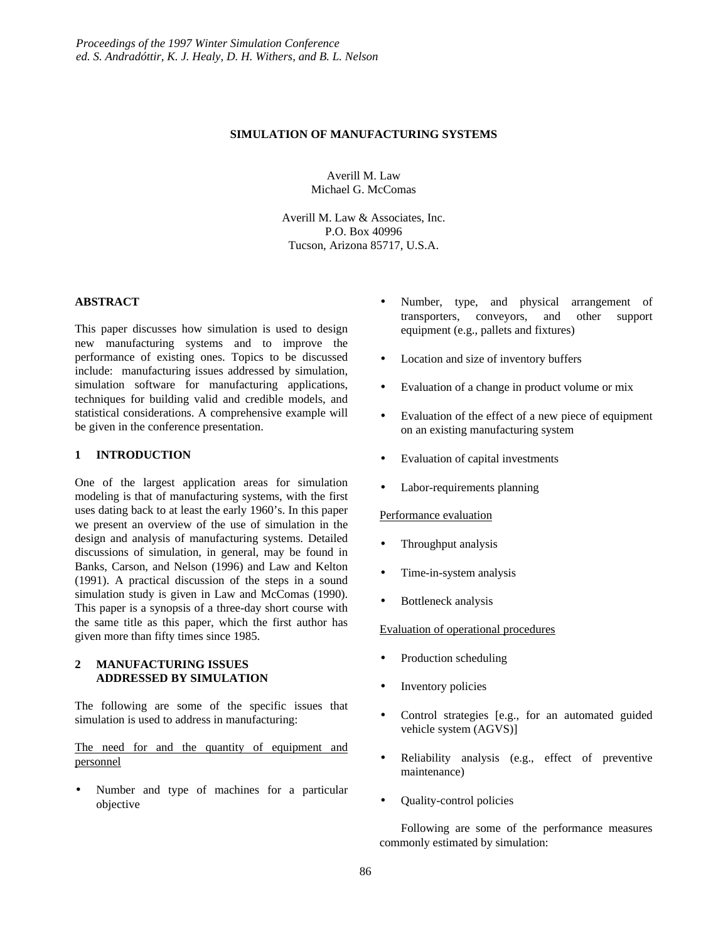#### **SIMULATION OF MANUFACTURING SYSTEMS**

Averill M. Law Michael G. McComas

Averill M. Law & Associates, Inc. P.O. Box 40996 Tucson, Arizona 85717, U.S.A.

### **ABSTRACT**

This paper discusses how simulation is used to design new manufacturing systems and to improve the performance of existing ones. Topics to be discussed include: manufacturing issues addressed by simulation, simulation software for manufacturing applications, techniques for building valid and credible models, and statistical considerations. A comprehensive example will be given in the conference presentation.

### **1 INTRODUCTION**

One of the largest application areas for simulation modeling is that of manufacturing systems, with the first uses dating back to at least the early 1960's. In this paper we present an overview of the use of simulation in the design and analysis of manufacturing systems. Detailed discussions of simulation, in general, may be found in Banks, Carson, and Nelson (1996) and Law and Kelton (1991). A practical discussion of the steps in a sound simulation study is given in Law and McComas (1990). This paper is a synopsis of a three-day short course with the same title as this paper, which the first author has given more than fifty times since 1985.

### **2 MANUFACTURING ISSUES ADDRESSED BY SIMULATION**

The following are some of the specific issues that simulation is used to address in manufacturing:

The need for and the quantity of equipment and personnel

Number and type of machines for a particular objective

- Number, type, and physical arrangement of transporters, conveyors, and other support equipment (e.g., pallets and fixtures)
- Location and size of inventory buffers
- Evaluation of a change in product volume or mix
- Evaluation of the effect of a new piece of equipment on an existing manufacturing system
- Evaluation of capital investments
- Labor-requirements planning

### Performance evaluation

- Throughput analysis
- Time-in-system analysis
- Bottleneck analysis

### Evaluation of operational procedures

- Production scheduling
- Inventory policies
- Control strategies [e.g., for an automated guided vehicle system (AGVS)]
- Reliability analysis (e.g., effect of preventive maintenance)
- Quality-control policies

Following are some of the performance measures commonly estimated by simulation: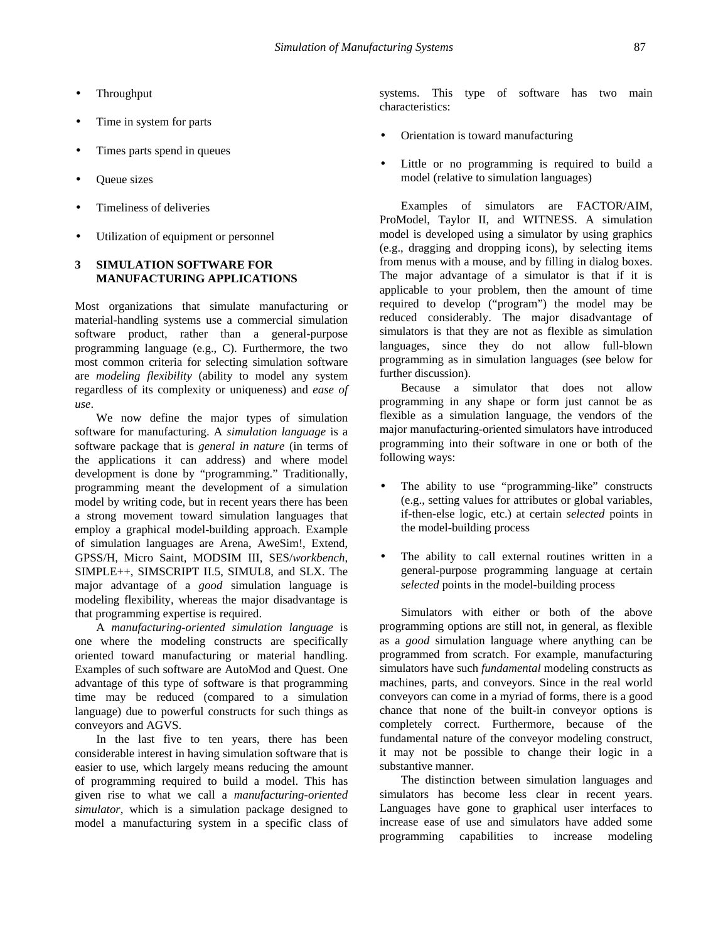- Throughput
- Time in system for parts
- Times parts spend in queues
- Queue sizes
- Timeliness of deliveries
- Utilization of equipment or personnel

# **3 SIMULATION SOFTWARE FOR MANUFACTURING APPLICATIONS**

Most organizations that simulate manufacturing or material-handling systems use a commercial simulation software product, rather than a general-purpose programming language (e.g., C). Furthermore, the two most common criteria for selecting simulation software are *modeling flexibility* (ability to model any system regardless of its complexity or uniqueness) and *ease of use*.

We now define the major types of simulation software for manufacturing. A *simulation language* is a software package that is *general in nature* (in terms of the applications it can address) and where model development is done by "programming." Traditionally, programming meant the development of a simulation model by writing code, but in recent years there has been a strong movement toward simulation languages that employ a graphical model-building approach. Example of simulation languages are Arena, AweSim!, Extend, GPSS/H, Micro Saint, MODSIM III, SES/*workbench*, SIMPLE++, SIMSCRIPT II.5, SIMUL8, and SLX. The major advantage of a *good* simulation language is modeling flexibility, whereas the major disadvantage is that programming expertise is required.

A *manufacturing-oriented simulation language* is one where the modeling constructs are specifically oriented toward manufacturing or material handling. Examples of such software are AutoMod and Quest. One advantage of this type of software is that programming time may be reduced (compared to a simulation language) due to powerful constructs for such things as conveyors and AGVS.

In the last five to ten years, there has been considerable interest in having simulation software that is easier to use, which largely means reducing the amount of programming required to build a model. This has given rise to what we call a *manufacturing-oriented simulator*, which is a simulation package designed to model a manufacturing system in a specific class of systems. This type of software has two main characteristics:

- Orientation is toward manufacturing
- Little or no programming is required to build a model (relative to simulation languages)

Examples of simulators are FACTOR/AIM, ProModel, Taylor II, and WITNESS. A simulation model is developed using a simulator by using graphics (e.g., dragging and dropping icons), by selecting items from menus with a mouse, and by filling in dialog boxes. The major advantage of a simulator is that if it is applicable to your problem, then the amount of time required to develop ("program") the model may be reduced considerably. The major disadvantage of simulators is that they are not as flexible as simulation languages, since they do not allow full-blown programming as in simulation languages (see below for further discussion).

Because a simulator that does not allow programming in any shape or form just cannot be as flexible as a simulation language, the vendors of the major manufacturing-oriented simulators have introduced programming into their software in one or both of the following ways:

- The ability to use "programming-like" constructs (e.g., setting values for attributes or global variables, if-then-else logic, etc.) at certain *selected* points in the model-building process
- The ability to call external routines written in a general-purpose programming language at certain *selected* points in the model-building process

Simulators with either or both of the above programming options are still not, in general, as flexible as a *good* simulation language where anything can be programmed from scratch. For example, manufacturing simulators have such *fundamental* modeling constructs as machines, parts, and conveyors. Since in the real world conveyors can come in a myriad of forms, there is a good chance that none of the built-in conveyor options is completely correct. Furthermore, because of the fundamental nature of the conveyor modeling construct, it may not be possible to change their logic in a substantive manner.

The distinction between simulation languages and simulators has become less clear in recent years. Languages have gone to graphical user interfaces to increase ease of use and simulators have added some programming capabilities to increase modeling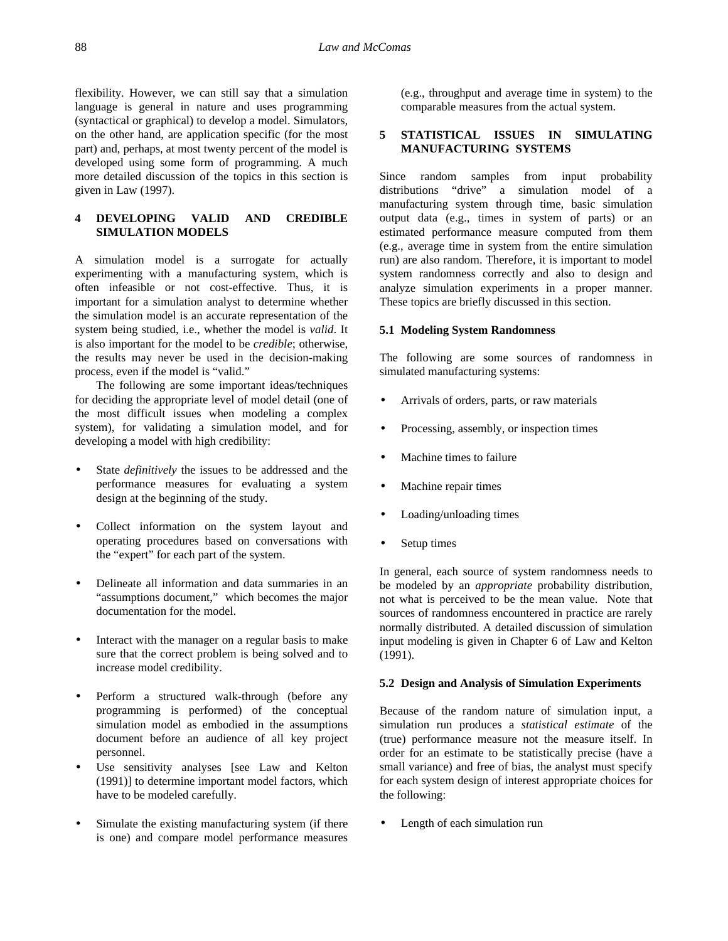flexibility. However, we can still say that a simulation language is general in nature and uses programming (syntactical or graphical) to develop a model. Simulators, on the other hand, are application specific (for the most part) and, perhaps, at most twenty percent of the model is developed using some form of programming. A much more detailed discussion of the topics in this section is given in Law (1997).

# **4 DEVELOPING VALID AND CREDIBLE SIMULATION MODELS**

A simulation model is a surrogate for actually experimenting with a manufacturing system, which is often infeasible or not cost-effective. Thus, it is important for a simulation analyst to determine whether the simulation model is an accurate representation of the system being studied, i.e., whether the model is *valid*. It is also important for the model to be *credible*; otherwise, the results may never be used in the decision-making process, even if the model is "valid."

The following are some important ideas/techniques for deciding the appropriate level of model detail (one of the most difficult issues when modeling a complex system), for validating a simulation model, and for developing a model with high credibility:

- State *definitively* the issues to be addressed and the performance measures for evaluating a system design at the beginning of the study.
- Collect information on the system layout and operating procedures based on conversations with the "expert" for each part of the system.
- Delineate all information and data summaries in an "assumptions document," which becomes the major documentation for the model.
- Interact with the manager on a regular basis to make sure that the correct problem is being solved and to increase model credibility.
- Perform a structured walk-through (before any programming is performed) of the conceptual simulation model as embodied in the assumptions document before an audience of all key project personnel.
- Use sensitivity analyses [see Law and Kelton (1991)] to determine important model factors, which have to be modeled carefully.
- Simulate the existing manufacturing system (if there is one) and compare model performance measures

(e.g., throughput and average time in system) to the comparable measures from the actual system.

### **5 STATISTICAL ISSUES IN SIMULATING MANUFACTURING SYSTEMS**

Since random samples from input probability distributions "drive" a simulation model of a manufacturing system through time, basic simulation output data (e.g., times in system of parts) or an estimated performance measure computed from them (e.g., average time in system from the entire simulation run) are also random. Therefore, it is important to model system randomness correctly and also to design and analyze simulation experiments in a proper manner. These topics are briefly discussed in this section.

### **5.1 Modeling System Randomness**

The following are some sources of randomness in simulated manufacturing systems:

- Arrivals of orders, parts, or raw materials
- Processing, assembly, or inspection times
- Machine times to failure
- Machine repair times
- Loading/unloading times
- Setup times

In general, each source of system randomness needs to be modeled by an *appropriate* probability distribution, not what is perceived to be the mean value. Note that sources of randomness encountered in practice are rarely normally distributed. A detailed discussion of simulation input modeling is given in Chapter 6 of Law and Kelton (1991).

### **5.2 Design and Analysis of Simulation Experiments**

Because of the random nature of simulation input, a simulation run produces a *statistical estimate* of the (true) performance measure not the measure itself. In order for an estimate to be statistically precise (have a small variance) and free of bias, the analyst must specify for each system design of interest appropriate choices for the following:

• Length of each simulation run